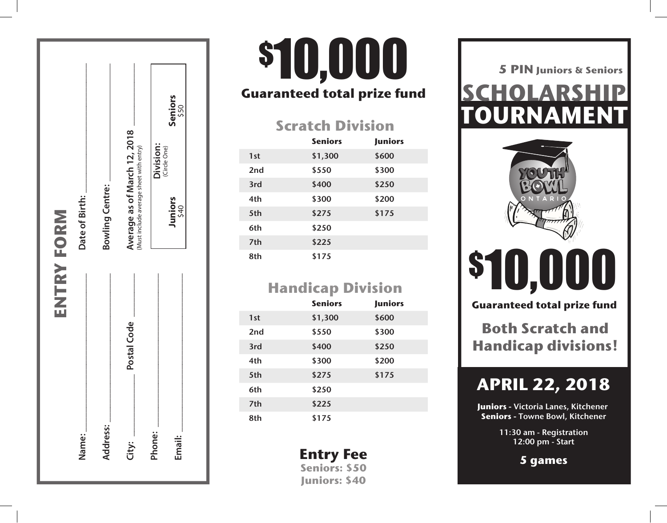|                 | ENTRY FORM  |                                                                         |
|-----------------|-------------|-------------------------------------------------------------------------|
| Name:           |             | Date of Birth:                                                          |
| <b>Address:</b> |             | <b>Bowling Centre:</b>                                                  |
| City:           | Postal Code | Average as of March 12, 2018<br>(Must include average sheet with entry) |
| Phone:          |             | Division:<br>(Circle One)                                               |
| Email:          |             | Seniors<br>\$50<br>Juniors<br>\$40                                      |

## **Guaranteed total prize fund** 8th \$175 \$10,000

### **Scratch Division**

|                 | <b>Seniors</b> | <b>Juniors</b> |
|-----------------|----------------|----------------|
| 1st             | \$1,300        | \$600          |
| 2 <sub>nd</sub> | \$550          | \$300          |
| 3rd             | \$400          | \$250          |
| 4th             | \$300          | \$200          |
| 5th             | \$275          | \$175          |
| 6th             | \$250          |                |
| 7th             | \$225          |                |
| 8th             | \$175          |                |

## **Handicap Division**

|                 | <b>Seniors</b> | <b>Juniors</b> |
|-----------------|----------------|----------------|
| 1st             | \$1,300        | \$600          |
| 2 <sub>nd</sub> | \$550          | \$300          |
| 3rd             | \$400          | \$250          |
| 4th             | \$300          | \$200          |
| 5th             | \$275          | \$175          |
| 6th             | \$250          |                |
| 7th             | \$225          |                |
| 8th             | \$175          |                |

**Entry Fee Seniors: \$50 Juniors: \$40**

**TOURNAMENT TOURNAMENT SCHOLARSHIP 5 PIN Juniors & Seniors**<br>**SCHOLARSHIP** 



# \$10,000 \$10,000

**Guaranteed total prize fund Guaranteed total prize fund**

**Both Scratch and Both Scratch and<br>Handicap divisions!** 

## **APRIL 17, 2016 APRIL 22, 2018**

Juniors - Victoria Lanes, Kitchener **Seniors - T**owne Bowl, Kitchener

> 11:30 am - Registration 11:30 am - Registration 12:00 pm - Start 12:00 pm - Start

> > **5 games 5 games**